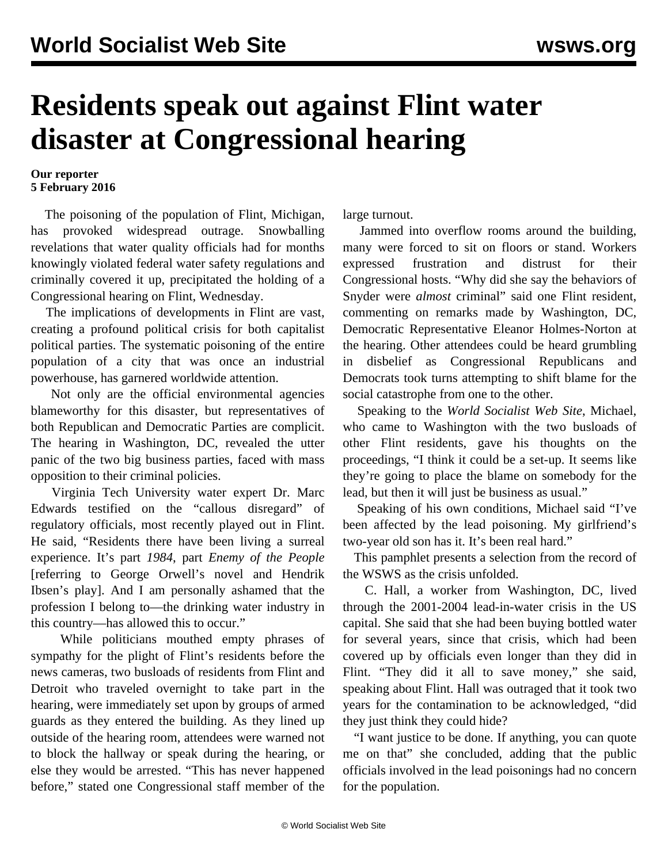## **Residents speak out against Flint water disaster at Congressional hearing**

## **Our reporter 5 February 2016**

 The poisoning of the population of Flint, Michigan, has provoked widespread outrage. Snowballing revelations that water quality officials had for months knowingly violated federal water safety regulations and criminally covered it up, precipitated the holding of a Congressional hearing on Flint, Wednesday.

 The implications of developments in Flint are vast, creating a profound political crisis for both capitalist political parties. The systematic poisoning of the entire population of a city that was once an industrial powerhouse, has garnered worldwide attention.

 Not only are the official environmental agencies blameworthy for this disaster, but representatives of both Republican and Democratic Parties are complicit. The hearing in Washington, DC, revealed the utter panic of the two big business parties, faced with mass opposition to their criminal policies.

 Virginia Tech University water expert Dr. Marc Edwards testified on the "callous disregard" of regulatory officials, most recently played out in Flint. He said, "Residents there have been living a surreal experience. It's part *1984*, part *Enemy of the People* [referring to George Orwell's novel and Hendrik Ibsen's play]. And I am personally ashamed that the profession I belong to—the drinking water industry in this country—has allowed this to occur."

 While politicians mouthed empty phrases of sympathy for the plight of Flint's residents before the news cameras, two busloads of residents from Flint and Detroit who traveled overnight to take part in the hearing, were immediately set upon by groups of armed guards as they entered the building. As they lined up outside of the hearing room, attendees were warned not to block the hallway or speak during the hearing, or else they would be arrested. "This has never happened before," stated one Congressional staff member of the

large turnout.

 Jammed into overflow rooms around the building, many were forced to sit on floors or stand. Workers expressed frustration and distrust for their Congressional hosts. "Why did she say the behaviors of Snyder were *almost* criminal" said one Flint resident, commenting on remarks made by Washington, DC, Democratic Representative Eleanor Holmes-Norton at the hearing. Other attendees could be heard grumbling in disbelief as Congressional Republicans and Democrats took turns attempting to shift blame for the social catastrophe from one to the other.

 Speaking to the *World Socialist Web Site*, Michael, who came to Washington with the two busloads of other Flint residents, gave his thoughts on the proceedings, "I think it could be a set-up. It seems like they're going to place the blame on somebody for the lead, but then it will just be business as usual."

 Speaking of his own conditions, Michael said "I've been affected by the lead poisoning. My girlfriend's two-year old son has it. It's been real hard."

 This pamphlet presents a selection from the record of the WSWS as the crisis unfolded.

 C. Hall, a worker from Washington, DC, lived through the 2001-2004 lead-in-water crisis in the US capital. She said that she had been buying bottled water for several years, since that crisis, which had been covered up by officials even longer than they did in Flint. "They did it all to save money," she said, speaking about Flint. Hall was outraged that it took two years for the contamination to be acknowledged, "did they just think they could hide?

 "I want justice to be done. If anything, you can quote me on that" she concluded, adding that the public officials involved in the lead poisonings had no concern for the population.